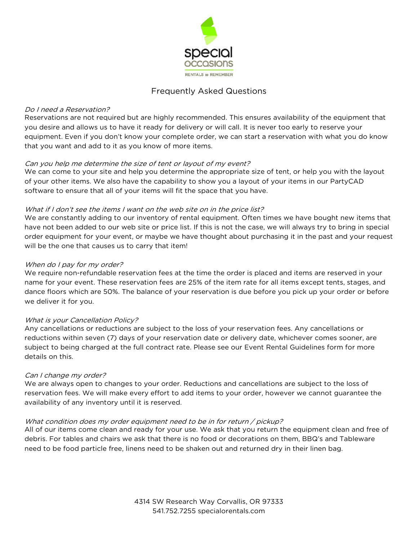

# Frequently Asked Questions

### Do I need a Reservation?

Reservations are not required but are highly recommended. This ensures availability of the equipment that you desire and allows us to have it ready for delivery or will call. It is never too early to reserve your equipment. Even if you don't know your complete order, we can start a reservation with what you do know that you want and add to it as you know of more items.

## Can you help me determine the size of tent or layout of my event?

We can come to your site and help you determine the appropriate size of tent, or help you with the layout of your other items. We also have the capability to show you a layout of your items in our PartyCAD software to ensure that all of your items will fit the space that you have.

## What if I don't see the items I want on the web site on in the price list?

We are constantly adding to our inventory of rental equipment. Often times we have bought new items that have not been added to our web site or price list. If this is not the case, we will always try to bring in special order equipment for your event, or maybe we have thought about purchasing it in the past and your request will be the one that causes us to carry that item!

## When do I pay for my order?

We require non-refundable reservation fees at the time the order is placed and items are reserved in your name for your event. These reservation fees are 25% of the item rate for all items except tents, stages, and dance floors which are 50%. The balance of your reservation is due before you pick up your order or before we deliver it for you.

#### What is your Cancellation Policy?

Any cancellations or reductions are subject to the loss of your reservation fees. Any cancellations or reductions within seven (7) days of your reservation date or delivery date, whichever comes sooner, are subject to being charged at the full contract rate. Please see our Event Rental Guidelines form for more details on this.

#### Can I change my order?

We are always open to changes to your order. Reductions and cancellations are subject to the loss of reservation fees. We will make every effort to add items to your order, however we cannot guarantee the availability of any inventory until it is reserved.

#### What condition does my order equipment need to be in for return / pickup?

All of our items come clean and ready for your use. We ask that you return the equipment clean and free of debris. For tables and chairs we ask that there is no food or decorations on them, BBQ's and Tableware need to be food particle free, linens need to be shaken out and returned dry in their linen bag.